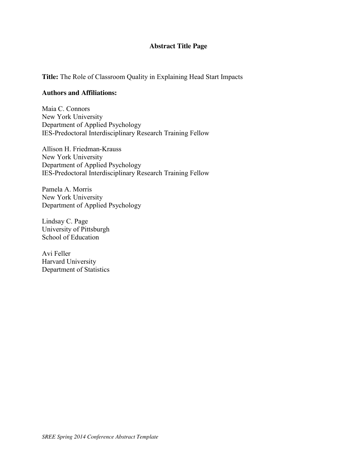## **Abstract Title Page**

**Title:** The Role of Classroom Quality in Explaining Head Start Impacts

#### **Authors and Affiliations:**

Maia C. Connors New York University Department of Applied Psychology IES-Predoctoral Interdisciplinary Research Training Fellow

Allison H. Friedman-Krauss New York University Department of Applied Psychology IES-Predoctoral Interdisciplinary Research Training Fellow

Pamela A. Morris New York University Department of Applied Psychology

Lindsay C. Page University of Pittsburgh School of Education

Avi Feller Harvard University Department of Statistics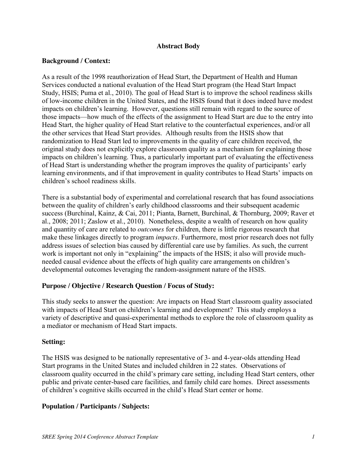## **Abstract Body**

## **Background / Context:**

As a result of the 1998 reauthorization of Head Start, the Department of Health and Human Services conducted a national evaluation of the Head Start program (the Head Start Impact Study, HSIS; Puma et al., 2010). The goal of Head Start is to improve the school readiness skills of low-income children in the United States, and the HSIS found that it does indeed have modest impacts on children's learning. However, questions still remain with regard to the source of those impacts—how much of the effects of the assignment to Head Start are due to the entry into Head Start, the higher quality of Head Start relative to the counterfactual experiences, and/or all the other services that Head Start provides. Although results from the HSIS show that randomization to Head Start led to improvements in the quality of care children received, the original study does not explicitly explore classroom quality as a mechanism for explaining those impacts on children's learning. Thus, a particularly important part of evaluating the effectiveness of Head Start is understanding whether the program improves the quality of participants' early learning environments, and if that improvement in quality contributes to Head Starts' impacts on children's school readiness skills.

There is a substantial body of experimental and correlational research that has found associations between the quality of children's early childhood classrooms and their subsequent academic success (Burchinal, Kainz, & Cai, 2011; Pianta, Barnett, Burchinal, & Thornburg, 2009; Raver et al., 2008; 2011; Zaslow et al., 2010). Nonetheless, despite a wealth of research on how quality and quantity of care are related to *outcomes* for children, there is little rigorous research that make these linkages directly to program *impacts.* Furthermore, most prior research does not fully address issues of selection bias caused by differential care use by families. As such, the current work is important not only in "explaining" the impacts of the HSIS; it also will provide muchneeded causal evidence about the effects of high quality care arrangements on children's developmental outcomes leveraging the random-assignment nature of the HSIS.

# **Purpose / Objective / Research Question / Focus of Study:**

This study seeks to answer the question: Are impacts on Head Start classroom quality associated with impacts of Head Start on children's learning and development? This study employs a variety of descriptive and quasi-experimental methods to explore the role of classroom quality as a mediator or mechanism of Head Start impacts.

#### **Setting:**

The HSIS was designed to be nationally representative of 3- and 4-year-olds attending Head Start programs in the United States and included children in 22 states. Observations of classroom quality occurred in the child's primary care setting, including Head Start centers, other public and private center-based care facilities, and family child care homes. Direct assessments of children's cognitive skills occurred in the child's Head Start center or home.

#### **Population / Participants / Subjects:**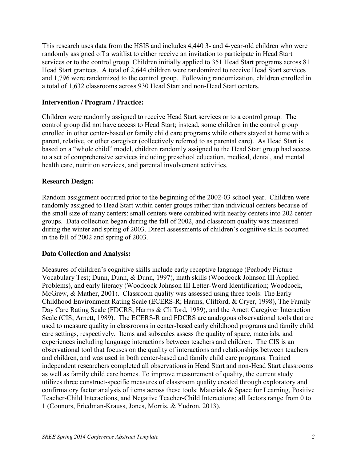This research uses data from the HSIS and includes 4,440 3- and 4-year-old children who were randomly assigned off a waitlist to either receive an invitation to participate in Head Start services or to the control group. Children initially applied to 351 Head Start programs across 81 Head Start grantees. A total of 2,644 children were randomized to receive Head Start services and 1,796 were randomized to the control group. Following randomization, children enrolled in a total of 1,632 classrooms across 930 Head Start and non-Head Start centers.

## **Intervention / Program / Practice:**

Children were randomly assigned to receive Head Start services or to a control group. The control group did not have access to Head Start; instead, some children in the control group enrolled in other center-based or family child care programs while others stayed at home with a parent, relative, or other caregiver (collectively referred to as parental care). As Head Start is based on a "whole child" model, children randomly assigned to the Head Start group had access to a set of comprehensive services including preschool education, medical, dental, and mental health care, nutrition services, and parental involvement activities.

## **Research Design:**

Random assignment occurred prior to the beginning of the 2002-03 school year. Children were randomly assigned to Head Start within center groups rather than individual centers because of the small size of many centers: small centers were combined with nearby centers into 202 center groups. Data collection began during the fall of 2002, and classroom quality was measured during the winter and spring of 2003. Direct assessments of children's cognitive skills occurred in the fall of 2002 and spring of 2003.

#### **Data Collection and Analysis:**

Measures of children's cognitive skills include early receptive language (Peabody Picture Vocabulary Test; Dunn, Dunn, & Dunn, 1997), math skills (Woodcock Johnson III Applied Problems), and early literacy (Woodcock Johnson III Letter-Word Identification; Woodcock, McGrew, & Mather, 2001). Classroom quality was assessed using three tools: The Early Childhood Environment Rating Scale (ECERS-R; Harms, Clifford, & Cryer, 1998), The Family Day Care Rating Scale (FDCRS; Harms & Clifford, 1989), and the Arnett Caregiver Interaction Scale (CIS; Arnett, 1989). The ECERS-R and FDCRS are analogous observational tools that are used to measure quality in classrooms in center-based early childhood programs and family child care settings, respectively. Items and subscales assess the quality of space, materials, and experiences including language interactions between teachers and children. The CIS is an observational tool that focuses on the quality of interactions and relationships between teachers and children, and was used in both center-based and family child care programs. Trained independent researchers completed all observations in Head Start and non-Head Start classrooms as well as family child care homes. To improve measurement of quality, the current study utilizes three construct-specific measures of classroom quality created through exploratory and confirmatory factor analysis of items across these tools: Materials & Space for Learning, Positive Teacher-Child Interactions, and Negative Teacher-Child Interactions; all factors range from 0 to 1 (Connors, Friedman-Krauss, Jones, Morris, & Yudron, 2013).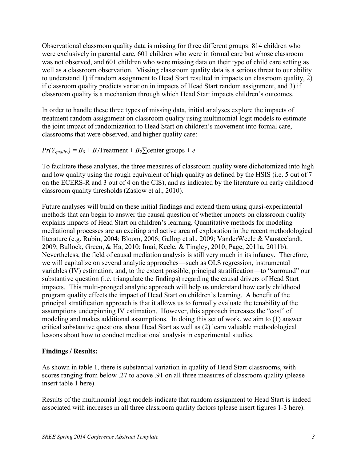Observational classroom quality data is missing for three different groups: 814 children who were exclusively in parental care, 601 children who were in formal care but whose classroom was not observed, and 601 children who were missing data on their type of child care setting as well as a classroom observation. Missing classroom quality data is a serious threat to our ability to understand 1) if random assignment to Head Start resulted in impacts on classroom quality, 2) if classroom quality predicts variation in impacts of Head Start random assignment, and 3) if classroom quality is a mechanism through which Head Start impacts children's outcomes.

In order to handle these three types of missing data, initial analyses explore the impacts of treatment random assignment on classroom quality using multinomial logit models to estimate the joint impact of randomization to Head Start on children's movement into formal care, classrooms that were observed, and higher quality care:

 $Pr(Y_{quality}) = B_0 + B_1$ Treatment +  $B_2$  $\sum$ center groups + *e* 

To facilitate these analyses, the three measures of classroom quality were dichotomized into high and low quality using the rough equivalent of high quality as defined by the HSIS (i.e. 5 out of 7 on the ECERS-R and 3 out of 4 on the CIS), and as indicated by the literature on early childhood classroom quality thresholds (Zaslow et al., 2010).

Future analyses will build on these initial findings and extend them using quasi-experimental methods that can begin to answer the causal question of whether impacts on classroom quality explains impacts of Head Start on children's learning. Quantitative methods for modeling mediational processes are an exciting and active area of exploration in the recent methodological literature (e.g. Rubin, 2004; Bloom, 2006; Gallop et al., 2009; VanderWeele & Vansteelandt, 2009; Bullock, Green, & Ha, 2010; Imai, Keele, & Tingley, 2010; Page, 2011a, 2011b). Nevertheless, the field of causal mediation analysis is still very much in its infancy. Therefore, we will capitalize on several analytic approaches—such as OLS regression, instrumental variables (IV) estimation, and, to the extent possible, principal stratification—to "surround" our substantive question (i.e. triangulate the findings) regarding the causal drivers of Head Start impacts. This multi-pronged analytic approach will help us understand how early childhood program quality effects the impact of Head Start on children's learning. A benefit of the principal stratification approach is that it allows us to formally evaluate the tenability of the assumptions underpinning IV estimation. However, this approach increases the "cost" of modeling and makes additional assumptions. In doing this set of work, we aim to (1) answer critical substantive questions about Head Start as well as (2) learn valuable methodological lessons about how to conduct meditational analysis in experimental studies.

# **Findings / Results:**

As shown in table 1, there is substantial variation in quality of Head Start classrooms, with scores ranging from below .27 to above .91 on all three measures of classroom quality (please insert table 1 here).

Results of the multinomial logit models indicate that random assignment to Head Start is indeed associated with increases in all three classroom quality factors (please insert figures 1-3 here).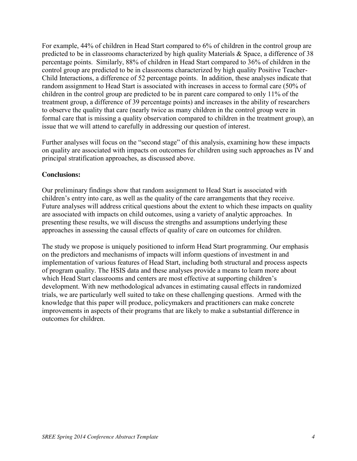For example, 44% of children in Head Start compared to 6% of children in the control group are predicted to be in classrooms characterized by high quality Materials & Space, a difference of 38 percentage points. Similarly, 88% of children in Head Start compared to 36% of children in the control group are predicted to be in classrooms characterized by high quality Positive Teacher-Child Interactions, a difference of 52 percentage points. In addition, these analyses indicate that random assignment to Head Start is associated with increases in access to formal care (50% of children in the control group are predicted to be in parent care compared to only 11% of the treatment group, a difference of 39 percentage points) and increases in the ability of researchers to observe the quality that care (nearly twice as many children in the control group were in formal care that is missing a quality observation compared to children in the treatment group), an issue that we will attend to carefully in addressing our question of interest.

Further analyses will focus on the "second stage" of this analysis, examining how these impacts on quality are associated with impacts on outcomes for children using such approaches as IV and principal stratification approaches, as discussed above.

## **Conclusions:**

Our preliminary findings show that random assignment to Head Start is associated with children's entry into care, as well as the quality of the care arrangements that they receive. Future analyses will address critical questions about the extent to which these impacts on quality are associated with impacts on child outcomes, using a variety of analytic approaches. In presenting these results, we will discuss the strengths and assumptions underlying these approaches in assessing the causal effects of quality of care on outcomes for children.

The study we propose is uniquely positioned to inform Head Start programming. Our emphasis on the predictors and mechanisms of impacts will inform questions of investment in and implementation of various features of Head Start, including both structural and process aspects of program quality. The HSIS data and these analyses provide a means to learn more about which Head Start classrooms and centers are most effective at supporting children's development. With new methodological advances in estimating causal effects in randomized trials, we are particularly well suited to take on these challenging questions. Armed with the knowledge that this paper will produce, policymakers and practitioners can make concrete improvements in aspects of their programs that are likely to make a substantial difference in outcomes for children.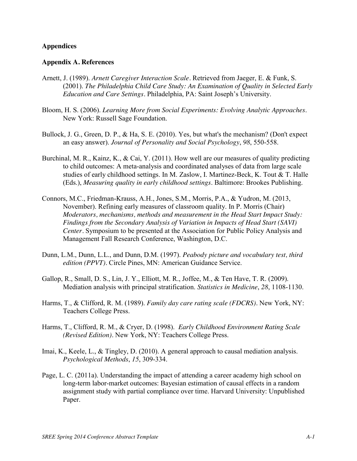#### **Appendices**

#### **Appendix A. References**

- Arnett, J. (1989). *Arnett Caregiver Interaction Scale.* Retrieved from Jaeger, E. & Funk, S. (2001). *The Philadelphia Child Care Study: An Examination of Quality in Selected Early Education and Care Settings.* Philadelphia, PA: Saint Joseph's University.
- Bloom, H. S. (2006). *Learning More from Social Experiments: Evolving Analytic Approaches*. New York: Russell Sage Foundation.
- Bullock, J. G., Green, D. P., & Ha, S. E. (2010). Yes, but what's the mechanism? (Don't expect an easy answer). *Journal of Personality and Social Psychology*, *98*, 550-558.
- Burchinal, M. R., Kainz, K., & Cai, Y. (2011). How well are our measures of quality predicting to child outcomes: A meta-analysis and coordinated analyses of data from large scale studies of early childhood settings. In M. Zaslow, I. Martinez-Beck, K. Tout & T. Halle (Eds.), *Measuring quality in early childhood settings*. Baltimore: Brookes Publishing.
- Connors, M.C., Friedman-Krauss, A.H., Jones, S.M., Morris, P.A., & Yudron, M. (2013, November). Refining early measures of classroom quality. In P. Morris (Chair) *Moderators, mechanisms, methods and measurement in the Head Start Impact Study: Findings from the Secondary Analysis of Variation in Impacts of Head Start (SAVI) Center.* Symposium to be presented at the Association for Public Policy Analysis and Management Fall Research Conference, Washington, D.C.
- Dunn, L.M., Dunn, L.L., and Dunn, D.M. (1997). *Peabody picture and vocabulary test, third edition (PPVT).* Circle Pines, MN: American Guidance Service.
- Gallop, R., Small, D. S., Lin, J. Y., Elliott, M. R., Joffee, M., & Ten Have, T. R. (2009). Mediation analysis with principal stratification. *Statistics in Medicine*, *28*, 1108-1130.
- Harms, T., & Clifford, R. M. (1989). *Family day care rating scale (FDCRS).* New York, NY: Teachers College Press.
- Harms, T., Clifford, R. M., & Cryer, D. (1998). *Early Childhood Environment Rating Scale (Revised Edition).* New York, NY: Teachers College Press.
- Imai, K., Keele, L., & Tingley, D. (2010). A general approach to causal mediation analysis. *Psychological Methods*, *15*, 309-334.
- Page, L. C. (2011a). Understanding the impact of attending a career academy high school on long-term labor-market outcomes: Bayesian estimation of causal effects in a random assignment study with partial compliance over time. Harvard University: Unpublished Paper.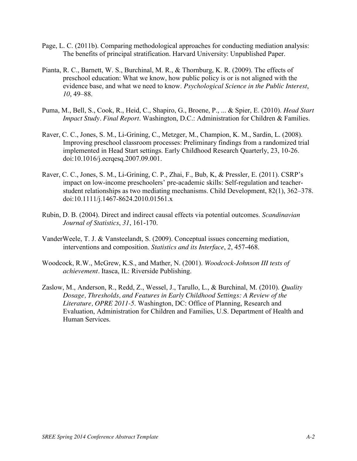- Page, L. C. (2011b). Comparing methodological approaches for conducting mediation analysis: The benefits of principal stratification. Harvard University: Unpublished Paper.
- Pianta, R. C., Barnett, W. S., Burchinal, M. R., & Thornburg, K. R. (2009). The effects of preschool education: What we know, how public policy is or is not aligned with the evidence base, and what we need to know. *Psychological Science in the Public Interest*, *10*, 49–88.
- Puma, M., Bell, S., Cook, R., Heid, C., Shapiro, G., Broene, P., ... & Spier, E. (2010). *Head Start Impact Study. Final Report*. Washington, D.C.: Administration for Children & Families.
- Raver, C. C., Jones, S. M., Li-Grining, C., Metzger, M., Champion, K. M., Sardin, L. (2008). Improving preschool classroom processes: Preliminary findings from a randomized trial implemented in Head Start settings. Early Childhood Research Quarterly, 23, 10-26. doi:10.1016/j.ecrqesq.2007.09.001.
- Raver, C. C., Jones, S. M., Li-Grining, C. P., Zhai, F., Bub, K, & Pressler, E. (2011). CSRP's impact on low-income preschoolers' pre-academic skills: Self-regulation and teacherstudent relationships as two mediating mechanisms. Child Development, 82(1), 362–378. doi:10.1111/j.1467-8624.2010.01561.x
- Rubin, D. B. (2004). Direct and indirect causal effects via potential outcomes. *Scandinavian Journal of Statistics*, *31*, 161-170.
- VanderWeele, T. J. & Vansteelandt, S. (2009). Conceptual issues concerning mediation, interventions and composition. *Statistics and its Interface*, *2*, 457-468.
- Woodcock, R.W., McGrew, K.S., and Mather, N. (2001). *Woodcock-Johnson III tests of achievement.* Itasca, IL: Riverside Publishing.
- Zaslow, M., Anderson, R., Redd, Z., Wessel, J., Tarullo, L., & Burchinal, M. (2010). *Quality Dosage, Thresholds, and Features in Early Childhood Settings: A Review of the Literature, OPRE 2011-5*. Washington, DC: Office of Planning, Research and Evaluation, Administration for Children and Families, U.S. Department of Health and Human Services.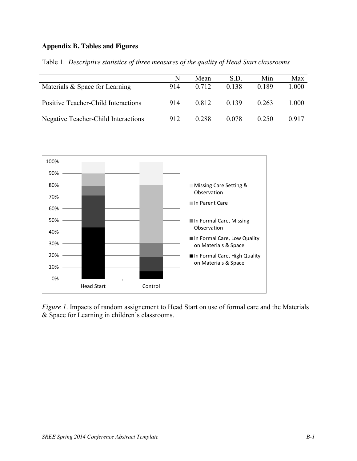# **Appendix B. Tables and Figures**

|                                     | N   | Mean  | SD.   | Min   | Max   |
|-------------------------------------|-----|-------|-------|-------|-------|
| Materials & Space for Learning      | 914 | 0.712 | 0.138 | 0.189 | 000.1 |
| Positive Teacher-Child Interactions | 914 | 0.812 | 0.139 | 0.263 | 1.000 |
| Negative Teacher-Child Interactions | 912 | 0.288 | 0.078 | 0.250 | 0.917 |

Table 1. *Descriptive statistics of three measures of the quality of Head Start classrooms*



*Figure 1*. Impacts of random assignement to Head Start on use of formal care and the Materials & Space for Learning in children's classrooms.